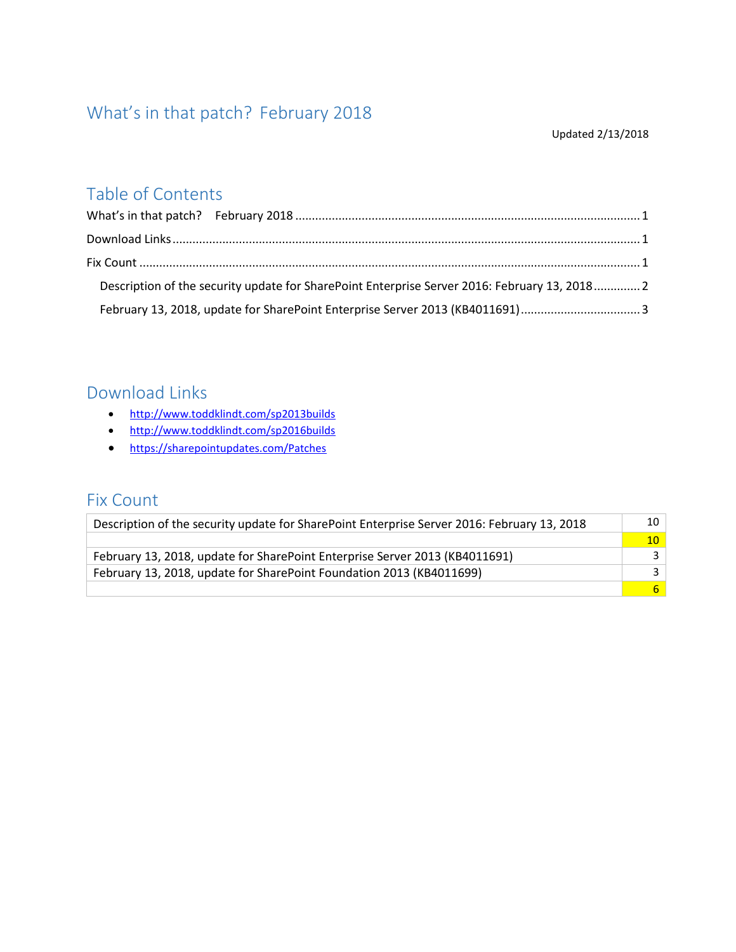# <span id="page-0-0"></span>What's in that patch? February 2018

#### Updated 2/13/2018

## Table of Contents

| Description of the security update for SharePoint Enterprise Server 2016: February 13, 20182 |  |
|----------------------------------------------------------------------------------------------|--|
|                                                                                              |  |

### <span id="page-0-1"></span>Download Links

- <http://www.toddklindt.com/sp2013builds>
- <http://www.toddklindt.com/sp2016builds>
- <https://sharepointupdates.com/Patches>

#### <span id="page-0-2"></span>Fix Count

| Description of the security update for SharePoint Enterprise Server 2016: February 13, 2018 |        |
|---------------------------------------------------------------------------------------------|--------|
|                                                                                             | $10-1$ |
| February 13, 2018, update for SharePoint Enterprise Server 2013 (KB4011691)                 |        |
| February 13, 2018, update for SharePoint Foundation 2013 (KB4011699)                        |        |
|                                                                                             | 6.     |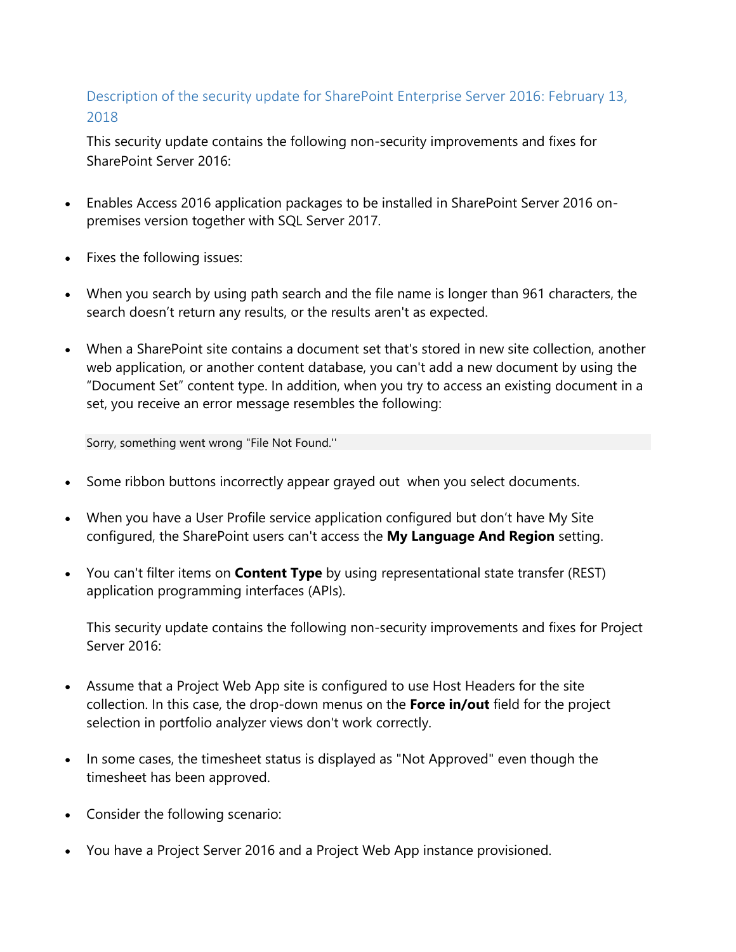#### <span id="page-1-0"></span>Description of the security update for SharePoint Enterprise Server 2016: February 13, 2018

This security update contains the following non-security improvements and fixes for SharePoint Server 2016:

- Enables Access 2016 application packages to be installed in SharePoint Server 2016 onpremises version together with SQL Server 2017.
- Fixes the following issues:
- When you search by using path search and the file name is longer than 961 characters, the search doesn't return any results, or the results aren't as expected.
- When a SharePoint site contains a document set that's stored in new site collection, another web application, or another content database, you can't add a new document by using the "Document Set" content type. In addition, when you try to access an existing document in a set, you receive an error message resembles the following:

Sorry, something went wrong "File Not Found.''

- Some ribbon buttons incorrectly appear grayed out when you select documents.
- When you have a User Profile service application configured but don't have My Site configured, the SharePoint users can't access the **My Language And Region** setting.
- You can't filter items on **Content Type** by using representational state transfer (REST) application programming interfaces (APIs).

This security update contains the following non-security improvements and fixes for Project Server 2016:

- Assume that a Project Web App site is configured to use Host Headers for the site collection. In this case, the drop-down menus on the **Force in/out** field for the project selection in portfolio analyzer views don't work correctly.
- In some cases, the timesheet status is displayed as "Not Approved" even though the timesheet has been approved.
- Consider the following scenario:
- You have a Project Server 2016 and a Project Web App instance provisioned.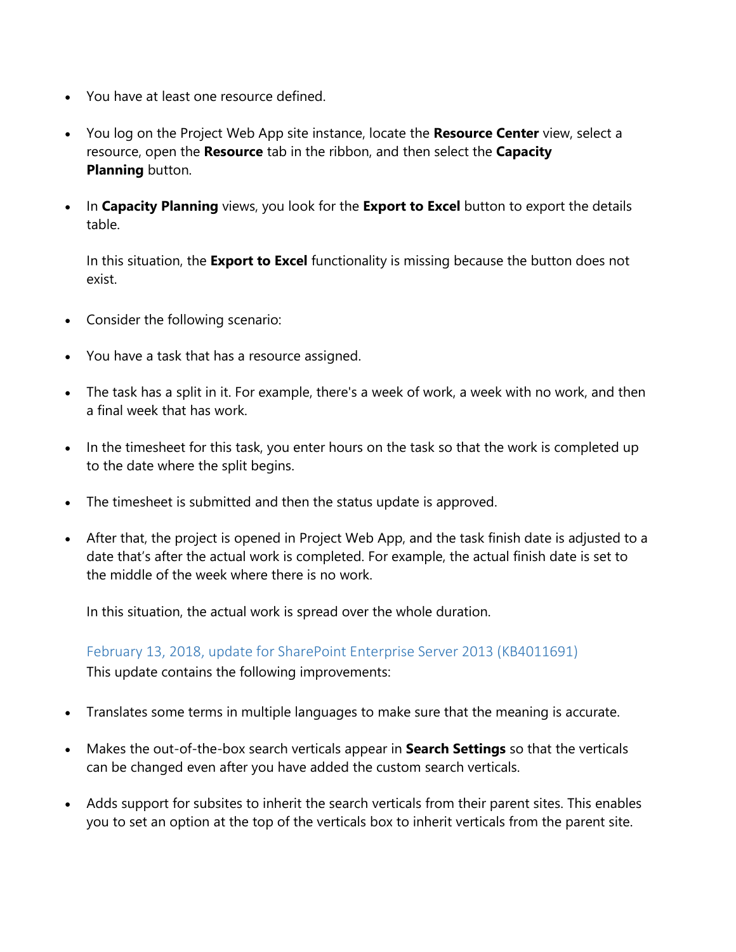- You have at least one resource defined.
- You log on the Project Web App site instance, locate the **Resource Center** view, select a resource, open the **Resource** tab in the ribbon, and then select the **Capacity Planning** button.
- In **Capacity Planning** views, you look for the **Export to Excel** button to export the details table.

In this situation, the **Export to Excel** functionality is missing because the button does not exist.

- Consider the following scenario:
- You have a task that has a resource assigned.
- The task has a split in it. For example, there's a week of work, a week with no work, and then a final week that has work.
- In the timesheet for this task, you enter hours on the task so that the work is completed up to the date where the split begins.
- The timesheet is submitted and then the status update is approved.
- After that, the project is opened in Project Web App, and the task finish date is adjusted to a date that's after the actual work is completed. For example, the actual finish date is set to the middle of the week where there is no work.

In this situation, the actual work is spread over the whole duration.

<span id="page-2-0"></span>February 13, 2018, update for SharePoint Enterprise Server 2013 (KB4011691) This update contains the following improvements:

- Translates some terms in multiple languages to make sure that the meaning is accurate.
- Makes the out-of-the-box search verticals appear in **Search Settings** so that the verticals can be changed even after you have added the custom search verticals.
- Adds support for subsites to inherit the search verticals from their parent sites. This enables you to set an option at the top of the verticals box to inherit verticals from the parent site.